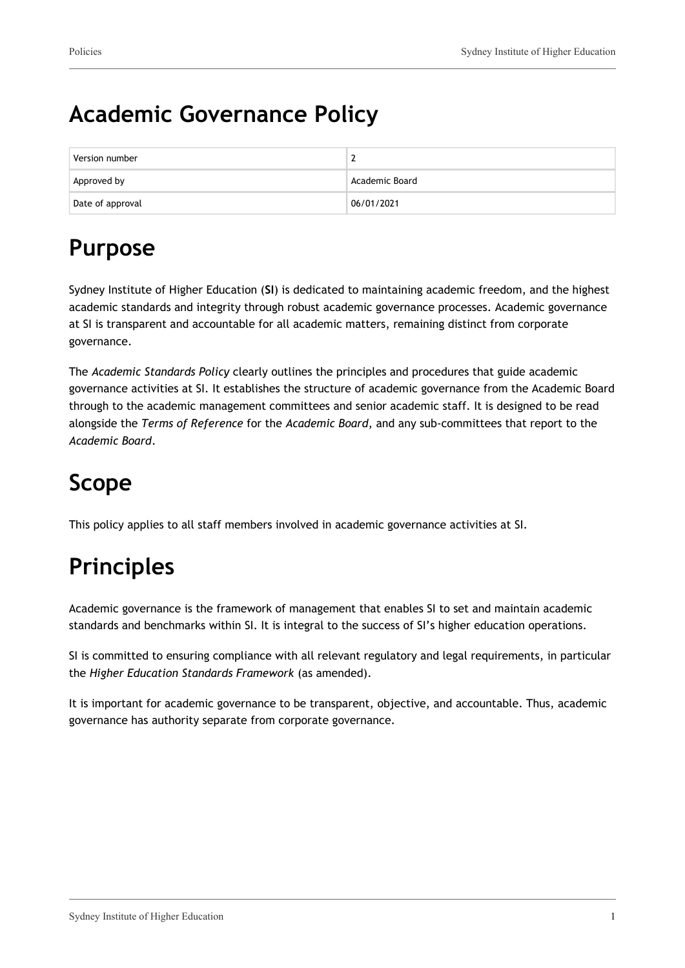### **Academic Governance Policy**

| Version number   | -              |
|------------------|----------------|
| Approved by      | Academic Board |
| Date of approval | 06/01/2021     |

## **Purpose**

Sydney Institute of Higher Education (**SI**) is dedicated to maintaining academic freedom, and the highest academic standards and integrity through robust academic governance processes. Academic governance at SI is transparent and accountable for all academic matters, remaining distinct from corporate governance.

The *Academic Standards Policy* clearly outlines the principles and procedures that guide academic governance activities at SI. It establishes the structure of academic governance from the Academic Board through to the academic management committees and senior academic staff. It is designed to be read alongside the *Terms of Reference* for the *Academic Board*, and any sub-committees that report to the *Academic Board*.

# **Scope**

This policy applies to all staff members involved in academic governance activities at SI.

# **Principles**

Academic governance is the framework of management that enables SI to set and maintain academic standards and benchmarks within SI. It is integral to the success of SI's higher education operations.

SI is committed to ensuring compliance with all relevant regulatory and legal requirements, in particular the *Higher Education Standards Framework* (as amended).

It is important for academic governance to be transparent, objective, and accountable. Thus, academic governance has authority separate from corporate governance.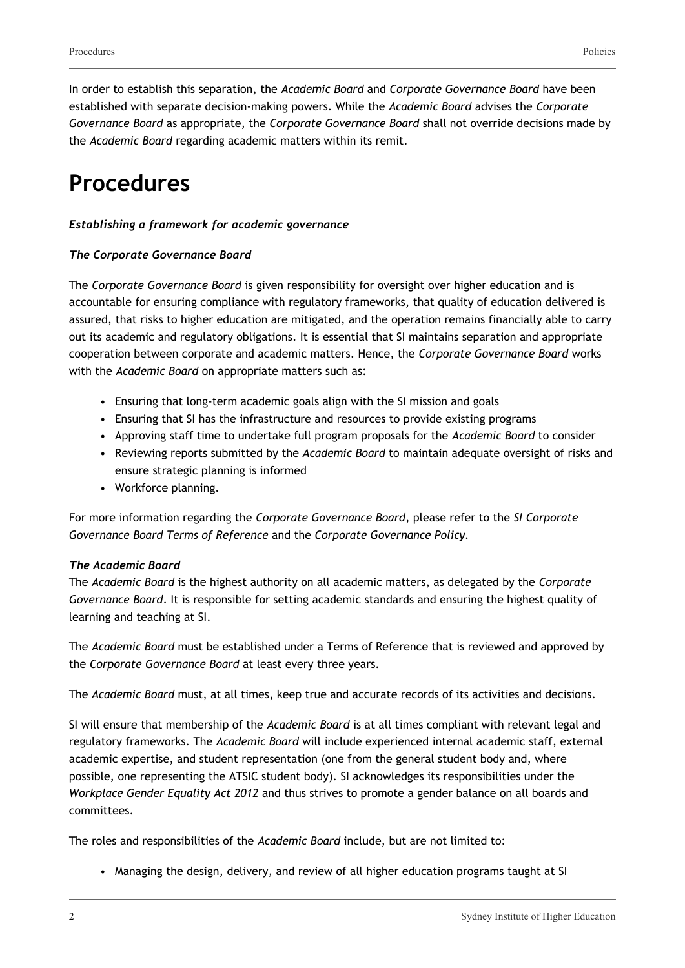In order to establish this separation, the *Academic Board* and *Corporate Governance Board* have been established with separate decision-making powers. While the *Academic Board* advises the *Corporate Governance Board* as appropriate, the *Corporate Governance Board* shall not override decisions made by the *Academic Board* regarding academic matters within its remit.

### **Procedures**

#### *Establishing a framework for academic governance*

#### *The Corporate Governance Board*

The *Corporate Governance Board* is given responsibility for oversight over higher education and is accountable for ensuring compliance with regulatory frameworks, that quality of education delivered is assured, that risks to higher education are mitigated, and the operation remains financially able to carry out its academic and regulatory obligations. It is essential that SI maintains separation and appropriate cooperation between corporate and academic matters. Hence, the *Corporate Governance Board* works with the *Academic Board* on appropriate matters such as:

- Ensuring that long-term academic goals align with the SI mission and goals
- Ensuring that SI has the infrastructure and resources to provide existing programs
- Approving staff time to undertake full program proposals for the *Academic Board* to consider
- Reviewing reports submitted by the *Academic Board* to maintain adequate oversight of risks and ensure strategic planning is informed
- Workforce planning.

For more information regarding the *Corporate Governance Board*, please refer to the *SI Corporate Governance Board Terms of Reference* and the *Corporate Governance Policy.*

#### *The Academic Board*

The *Academic Board* is the highest authority on all academic matters, as delegated by the *Corporate Governance Board*. It is responsible for setting academic standards and ensuring the highest quality of learning and teaching at SI.

The *Academic Board* must be established under a Terms of Reference that is reviewed and approved by the *Corporate Governance Board* at least every three years.

The *Academic Board* must, at all times, keep true and accurate records of its activities and decisions.

SI will ensure that membership of the *Academic Board* is at all times compliant with relevant legal and regulatory frameworks. The *Academic Board* will include experienced internal academic staff, external academic expertise, and student representation (one from the general student body and, where possible, one representing the ATSIC student body). SI acknowledges its responsibilities under the *Workplace Gender Equality Act 2012* and thus strives to promote a gender balance on all boards and committees.

The roles and responsibilities of the *Academic Board* include, but are not limited to:

• Managing the design, delivery, and review of all higher education programs taught at SI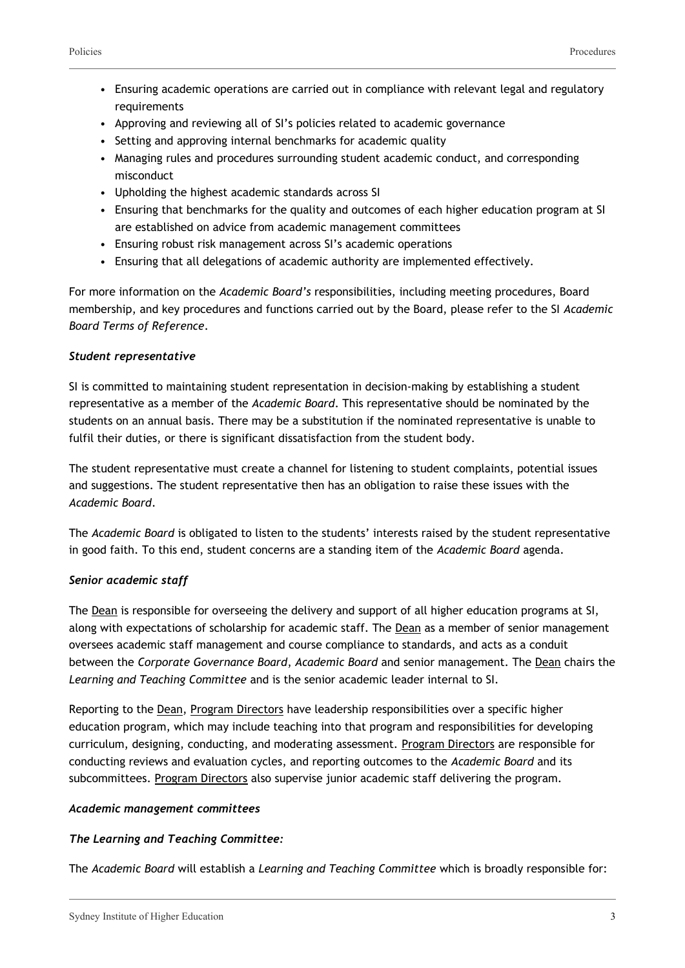- Ensuring academic operations are carried out in compliance with relevant legal and regulatory requirements
- Approving and reviewing all of SI's policies related to academic governance
- Setting and approving internal benchmarks for academic quality
- Managing rules and procedures surrounding student academic conduct, and corresponding misconduct
- Upholding the highest academic standards across SI
- Ensuring that benchmarks for the quality and outcomes of each higher education program at SI are established on advice from academic management committees
- Ensuring robust risk management across SI's academic operations
- Ensuring that all delegations of academic authority are implemented effectively.

For more information on the *Academic Board's* responsibilities, including meeting procedures, Board membership, and key procedures and functions carried out by the Board, please refer to the SI *Academic Board Terms of Reference*.

#### *Student representative*

SI is committed to maintaining student representation in decision-making by establishing a student representative as a member of the *Academic Board*. This representative should be nominated by the students on an annual basis. There may be a substitution if the nominated representative is unable to fulfil their duties, or there is significant dissatisfaction from the student body.

The student representative must create a channel for listening to student complaints, potential issues and suggestions. The student representative then has an obligation to raise these issues with the *Academic Board*.

The *Academic Board* is obligated to listen to the students' interests raised by the student representative in good faith. To this end, student concerns are a standing item of the *Academic Board* agenda.

#### *Senior academic staff*

The Dean is responsible for overseeing the delivery and support of all higher education programs at SI, along with expectations of scholarship for academic staff. The Dean as a member of senior management oversees academic staff management and course compliance to standards, and acts as a conduit between the *Corporate Governance Board*, *Academic Board* and senior management. The Dean chairs the *Learning and Teaching Committee* and is the senior academic leader internal to SI.

Reporting to the Dean, Program Directors have leadership responsibilities over a specific higher education program, which may include teaching into that program and responsibilities for developing curriculum, designing, conducting, and moderating assessment. Program Directors are responsible for conducting reviews and evaluation cycles, and reporting outcomes to the *Academic Board* and its subcommittees. Program Directors also supervise junior academic staff delivering the program.

#### *Academic management committees*

#### *The Learning and Teaching Committee:*

The *Academic Board* will establish a *Learning and Teaching Committee* which is broadly responsible for: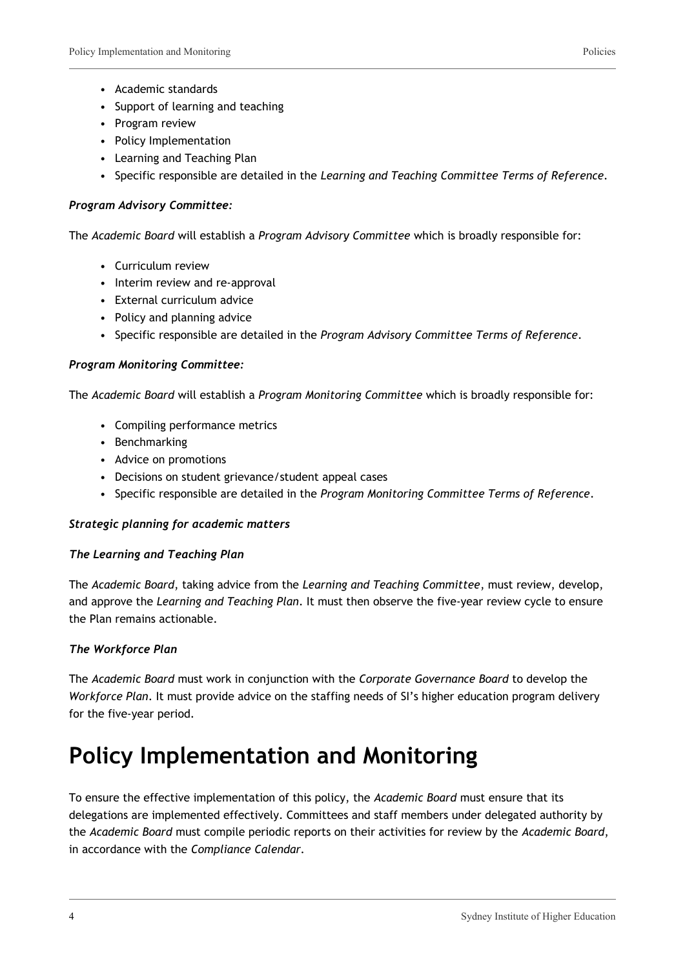- Academic standards
- Support of learning and teaching
- Program review
- Policy Implementation
- Learning and Teaching Plan
- Specific responsible are detailed in the *Learning and Teaching Committee Terms of Reference*.

#### *Program Advisory Committee:*

The *Academic Board* will establish a *Program Advisory Committee* which is broadly responsible for:

- Curriculum review
- Interim review and re-approval
- External curriculum advice
- Policy and planning advice
- Specific responsible are detailed in the *Program Advisory Committee Terms of Reference*.

#### *Program Monitoring Committee:*

The *Academic Board* will establish a *Program Monitoring Committee* which is broadly responsible for:

- Compiling performance metrics
- Benchmarking
- Advice on promotions
- Decisions on student grievance/student appeal cases
- Specific responsible are detailed in the *Program Monitoring Committee Terms of Reference*.

#### *Strategic planning for academic matters*

#### *The Learning and Teaching Plan*

The *Academic Board*, taking advice from the *Learning and Teaching Committee*, must review, develop, and approve the *Learning and Teaching Plan*. It must then observe the five-year review cycle to ensure the Plan remains actionable.

#### *The Workforce Plan*

The *Academic Board* must work in conjunction with the *Corporate Governance Board* to develop the *Workforce Plan*. It must provide advice on the staffing needs of SI's higher education program delivery for the five-year period.

### **Policy Implementation and Monitoring**

To ensure the effective implementation of this policy, the *Academic Board* must ensure that its delegations are implemented effectively. Committees and staff members under delegated authority by the *Academic Board* must compile periodic reports on their activities for review by the *Academic Board*, in accordance with the *Compliance Calendar.*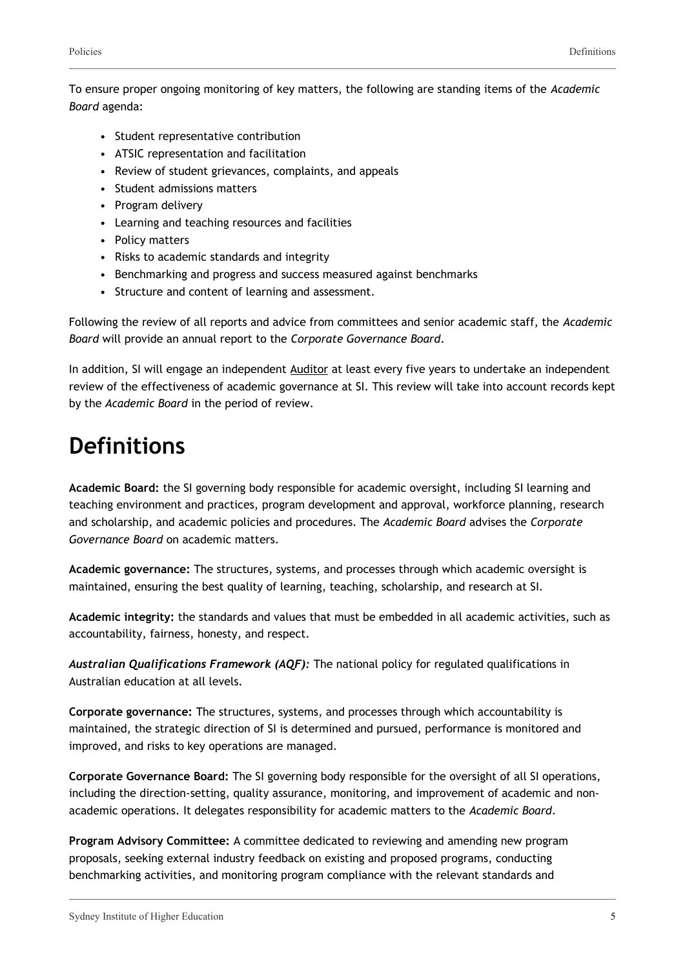To ensure proper ongoing monitoring of key matters, the following are standing items of the *Academic Board* agenda:

- Student representative contribution
- ATSIC representation and facilitation
- Review of student grievances, complaints, and appeals
- Student admissions matters
- Program delivery
- Learning and teaching resources and facilities
- Policy matters
- Risks to academic standards and integrity
- Benchmarking and progress and success measured against benchmarks
- Structure and content of learning and assessment.

Following the review of all reports and advice from committees and senior academic staff, the *Academic Board* will provide an annual report to the *Corporate Governance Board*.

In addition, SI will engage an independent Auditor at least every five years to undertake an independent review of the effectiveness of academic governance at SI. This review will take into account records kept by the *Academic Board* in the period of review.

### **Definitions**

**Academic Board:** the SI governing body responsible for academic oversight, including SI learning and teaching environment and practices, program development and approval, workforce planning, research and scholarship, and academic policies and procedures. The *Academic Board* advises the *Corporate Governance Board* on academic matters.

**Academic governance:** The structures, systems, and processes through which academic oversight is maintained, ensuring the best quality of learning, teaching, scholarship, and research at SI.

**Academic integrity:** the standards and values that must be embedded in all academic activities, such as accountability, fairness, honesty, and respect.

*Australian Qualifications Framework (AQF):* The national policy for regulated qualifications in Australian education at all levels.

**Corporate governance:** The structures, systems, and processes through which accountability is maintained, the strategic direction of SI is determined and pursued, performance is monitored and improved, and risks to key operations are managed.

**Corporate Governance Board:** The SI governing body responsible for the oversight of all SI operations, including the direction-setting, quality assurance, monitoring, and improvement of academic and nonacademic operations. It delegates responsibility for academic matters to the *Academic Board*.

**Program Advisory Committee:** A committee dedicated to reviewing and amending new program proposals, seeking external industry feedback on existing and proposed programs, conducting benchmarking activities, and monitoring program compliance with the relevant standards and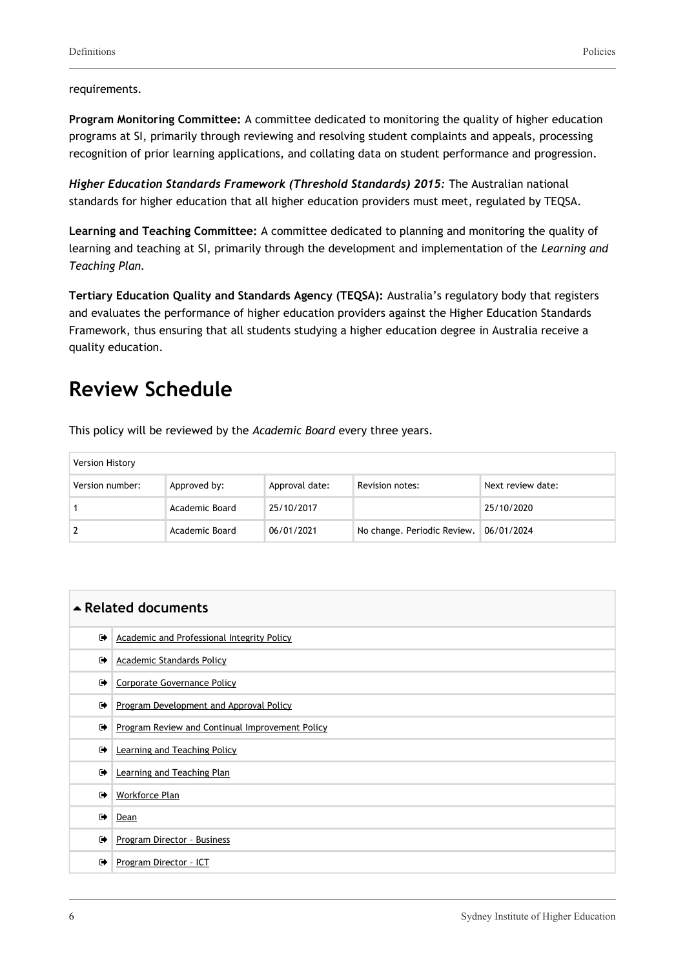**Program Monitoring Committee:** A committee dedicated to monitoring the quality of higher education programs at SI, primarily through reviewing and resolving student complaints and appeals, processing recognition of prior learning applications, and collating data on student performance and progression.

*Higher Education Standards Framework (Threshold Standards) 2015:* The Australian national standards for higher education that all higher education providers must meet, regulated by TEQSA.

**Learning and Teaching Committee:** A committee dedicated to planning and monitoring the quality of learning and teaching at SI, primarily through the development and implementation of the *Learning and Teaching Plan.*

**Tertiary Education Quality and Standards Agency (TEQSA):** Australia's regulatory body that registers and evaluates the performance of higher education providers against the Higher Education Standards Framework, thus ensuring that all students studying a higher education degree in Australia receive a quality education.

### **Review Schedule**

This policy will be reviewed by the *Academic Board* every three years.

| Version History |                |                |                             |                   |
|-----------------|----------------|----------------|-----------------------------|-------------------|
| Version number: | Approved by:   | Approval date: | Revision notes:             | Next review date: |
|                 | Academic Board | 25/10/2017     |                             | 25/10/2020        |
|                 | Academic Board | 06/01/2021     | No change. Periodic Review. | 06/01/2024        |

| $\triangle$ Related documents |                                                 |  |
|-------------------------------|-------------------------------------------------|--|
| $\bullet$                     | Academic and Professional Integrity Policy      |  |
| ☞                             | <b>Academic Standards Policy</b>                |  |
| $\bullet$                     | Corporate Governance Policy                     |  |
| $\bullet$                     | Program Development and Approval Policy         |  |
| $\bullet$                     | Program Review and Continual Improvement Policy |  |
| ☞                             | Learning and Teaching Policy                    |  |
| $\rightarrow$                 | Learning and Teaching Plan                      |  |
| $\rightarrow$                 | <b>Workforce Plan</b>                           |  |
| $\rightarrow$                 | Dean                                            |  |
| $\bullet$                     | Program Director - Business                     |  |
| $\bullet$                     | Program Director - ICT                          |  |